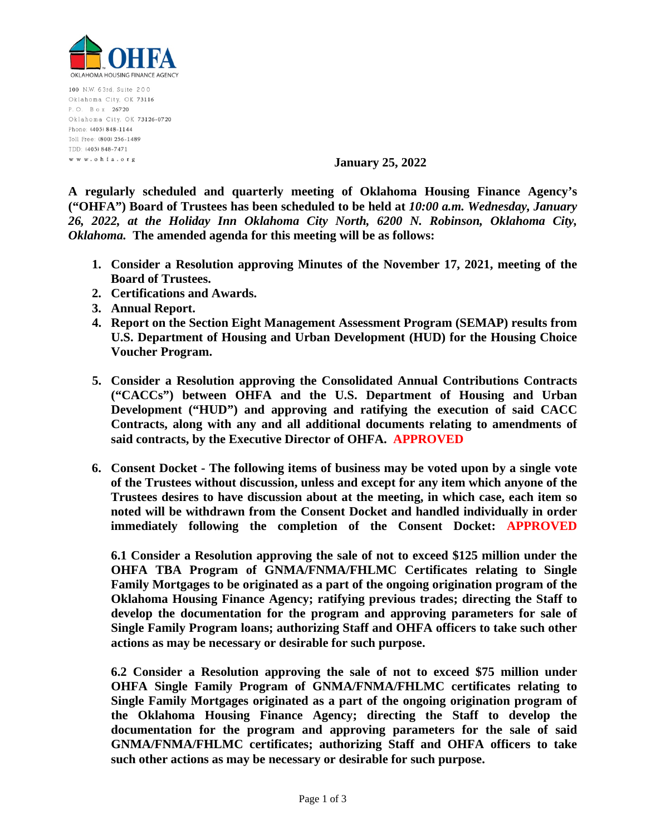

100 N.W. 63rd, Suite 200 Oklahoma City, OK 73116 P.O. Box 26720 Oklahoma City, OK 73126-0720 Phone: (405) 848-1144 Toll Free: (800) 256-1489 TDD: (405) 848-7471 www.ohfa.org

**January 25, 2022** 

**A regularly scheduled and quarterly meeting of Oklahoma Housing Finance Agency's ("OHFA") Board of Trustees has been scheduled to be held at** *10:00 a.m. Wednesday, January 26, 2022, at the Holiday Inn Oklahoma City North, 6200 N. Robinson, Oklahoma City, Oklahoma.* **The amended agenda for this meeting will be as follows:**

- **1. Consider a Resolution approving Minutes of the November 17, 2021, meeting of the Board of Trustees.**
- **2. Certifications and Awards.**
- **3. Annual Report.**
- **4. Report on the Section Eight Management Assessment Program (SEMAP) results from U.S. Department of Housing and Urban Development (HUD) for the Housing Choice Voucher Program.**
- **5. Consider a Resolution approving the Consolidated Annual Contributions Contracts ("CACCs") between OHFA and the U.S. Department of Housing and Urban Development ("HUD") and approving and ratifying the execution of said CACC Contracts, along with any and all additional documents relating to amendments of said contracts, by the Executive Director of OHFA. APPROVED**
- **6. Consent Docket The following items of business may be voted upon by a single vote of the Trustees without discussion, unless and except for any item which anyone of the Trustees desires to have discussion about at the meeting, in which case, each item so noted will be withdrawn from the Consent Docket and handled individually in order immediately following the completion of the Consent Docket: APPROVED**

**6.1 Consider a Resolution approving the sale of not to exceed \$125 million under the OHFA TBA Program of GNMA/FNMA/FHLMC Certificates relating to Single Family Mortgages to be originated as a part of the ongoing origination program of the Oklahoma Housing Finance Agency; ratifying previous trades; directing the Staff to develop the documentation for the program and approving parameters for sale of Single Family Program loans; authorizing Staff and OHFA officers to take such other actions as may be necessary or desirable for such purpose.**

**6.2 Consider a Resolution approving the sale of not to exceed \$75 million under OHFA Single Family Program of GNMA/FNMA/FHLMC certificates relating to Single Family Mortgages originated as a part of the ongoing origination program of the Oklahoma Housing Finance Agency; directing the Staff to develop the documentation for the program and approving parameters for the sale of said GNMA/FNMA/FHLMC certificates; authorizing Staff and OHFA officers to take such other actions as may be necessary or desirable for such purpose.**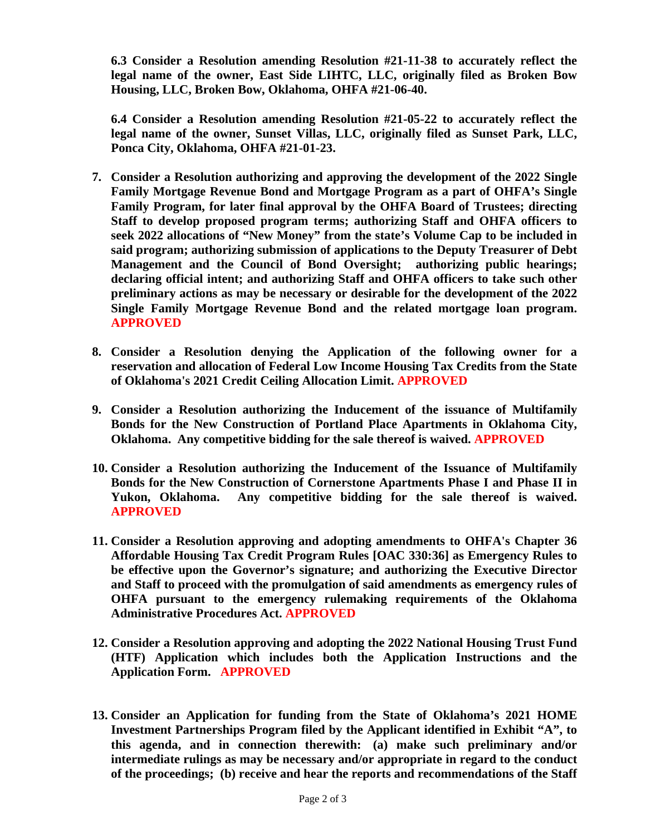**6.3 Consider a Resolution amending Resolution #21-11-38 to accurately reflect the legal name of the owner, East Side LIHTC, LLC, originally filed as Broken Bow Housing, LLC, Broken Bow, Oklahoma, OHFA #21-06-40.** 

**6.4 Consider a Resolution amending Resolution #21-05-22 to accurately reflect the legal name of the owner, Sunset Villas, LLC, originally filed as Sunset Park, LLC, Ponca City, Oklahoma, OHFA #21-01-23.** 

- **7. Consider a Resolution authorizing and approving the development of the 2022 Single Family Mortgage Revenue Bond and Mortgage Program as a part of OHFA's Single Family Program, for later final approval by the OHFA Board of Trustees; directing Staff to develop proposed program terms; authorizing Staff and OHFA officers to seek 2022 allocations of "New Money" from the state's Volume Cap to be included in said program; authorizing submission of applications to the Deputy Treasurer of Debt Management and the Council of Bond Oversight; authorizing public hearings; declaring official intent; and authorizing Staff and OHFA officers to take such other preliminary actions as may be necessary or desirable for the development of the 2022 Single Family Mortgage Revenue Bond and the related mortgage loan program. APPROVED**
- **8. Consider a Resolution denying the Application of the following owner for a reservation and allocation of Federal Low Income Housing Tax Credits from the State of Oklahoma's 2021 Credit Ceiling Allocation Limit. APPROVED**
- **9. Consider a Resolution authorizing the Inducement of the issuance of Multifamily Bonds for the New Construction of Portland Place Apartments in Oklahoma City, Oklahoma. Any competitive bidding for the sale thereof is waived. APPROVED**
- **10. Consider a Resolution authorizing the Inducement of the Issuance of Multifamily Bonds for the New Construction of Cornerstone Apartments Phase I and Phase II in Yukon, Oklahoma. Any competitive bidding for the sale thereof is waived. APPROVED**
- **11. Consider a Resolution approving and adopting amendments to OHFA's Chapter 36 Affordable Housing Tax Credit Program Rules [OAC 330:36] as Emergency Rules to be effective upon the Governor's signature; and authorizing the Executive Director and Staff to proceed with the promulgation of said amendments as emergency rules of OHFA pursuant to the emergency rulemaking requirements of the Oklahoma Administrative Procedures Act. APPROVED**
- **12. Consider a Resolution approving and adopting the 2022 National Housing Trust Fund (HTF) Application which includes both the Application Instructions and the Application Form. APPROVED**
- **13. Consider an Application for funding from the State of Oklahoma's 2021 HOME Investment Partnerships Program filed by the Applicant identified in Exhibit "A", to this agenda, and in connection therewith: (a) make such preliminary and/or intermediate rulings as may be necessary and/or appropriate in regard to the conduct of the proceedings; (b) receive and hear the reports and recommendations of the Staff**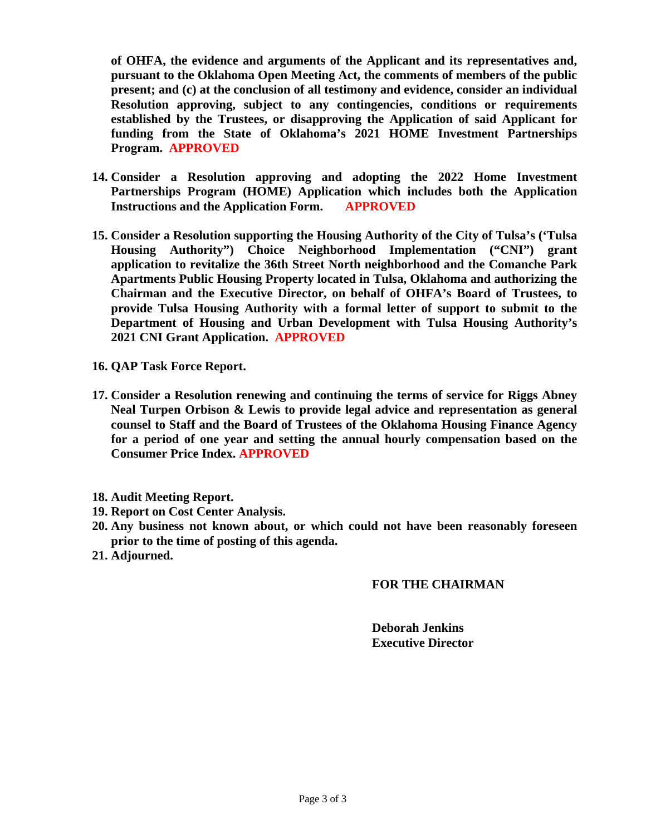**of OHFA, the evidence and arguments of the Applicant and its representatives and, pursuant to the Oklahoma Open Meeting Act, the comments of members of the public present; and (c) at the conclusion of all testimony and evidence, consider an individual Resolution approving, subject to any contingencies, conditions or requirements established by the Trustees, or disapproving the Application of said Applicant for funding from the State of Oklahoma's 2021 HOME Investment Partnerships Program. APPROVED**

- **14. Consider a Resolution approving and adopting the 2022 Home Investment Partnerships Program (HOME) Application which includes both the Application Instructions and the Application Form. APPROVED**
- **15. Consider a Resolution supporting the Housing Authority of the City of Tulsa's ('Tulsa Housing Authority") Choice Neighborhood Implementation ("CNI") grant application to revitalize the 36th Street North neighborhood and the Comanche Park Apartments Public Housing Property located in Tulsa, Oklahoma and authorizing the Chairman and the Executive Director, on behalf of OHFA's Board of Trustees, to provide Tulsa Housing Authority with a formal letter of support to submit to the Department of Housing and Urban Development with Tulsa Housing Authority's 2021 CNI Grant Application. APPROVED**
- **16. QAP Task Force Report.**
- **17. Consider a Resolution renewing and continuing the terms of service for Riggs Abney Neal Turpen Orbison & Lewis to provide legal advice and representation as general counsel to Staff and the Board of Trustees of the Oklahoma Housing Finance Agency for a period of one year and setting the annual hourly compensation based on the Consumer Price Index. APPROVED**
- **18. Audit Meeting Report.**
- **19. Report on Cost Center Analysis.**
- **20. Any business not known about, or which could not have been reasonably foreseen prior to the time of posting of this agenda.**
- **21. Adjourned.**

#### **FOR THE CHAIRMAN**

**Deborah Jenkins Executive Director**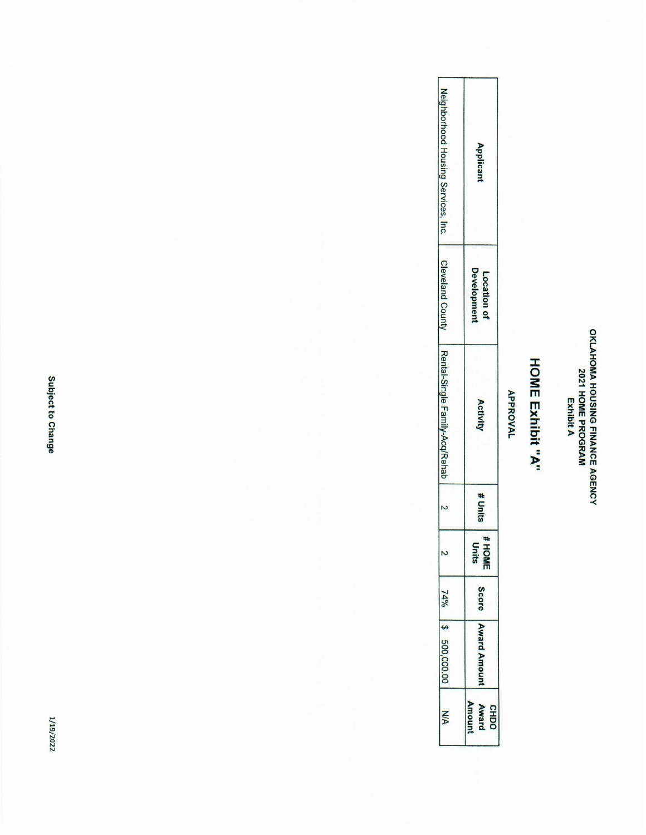# OKLAHOMA HOUSING FINANCE AGENCY<br>2021 HOME PROGRAM<br>Exhibit A

## **HOME Exhibit "A"**

### **APPROVAL**

| Neighborhood Housing Services, Inc.<br>Applicant<br><b>Cleveland County</b><br>Developmen<br>Location of<br>Representative Family-Acq/Rehab<br>Activity<br># Units<br>#HOME<br>Units<br>Score<br>74%<br>Award Amoun<br>500,000.00<br>Amour<br>Award<br><b>CHDO</b><br>ŠΣ |  |
|--------------------------------------------------------------------------------------------------------------------------------------------------------------------------------------------------------------------------------------------------------------------------|--|
|                                                                                                                                                                                                                                                                          |  |
|                                                                                                                                                                                                                                                                          |  |
|                                                                                                                                                                                                                                                                          |  |
|                                                                                                                                                                                                                                                                          |  |
|                                                                                                                                                                                                                                                                          |  |
|                                                                                                                                                                                                                                                                          |  |
|                                                                                                                                                                                                                                                                          |  |
|                                                                                                                                                                                                                                                                          |  |

Subject to Change

1/19/2022